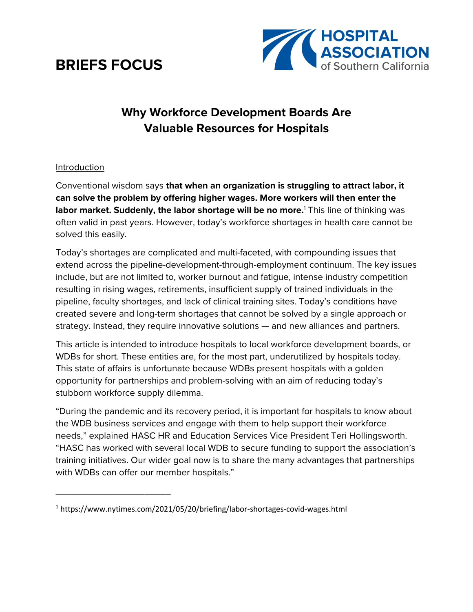# **BRIEFS FOCUS**

\_\_\_\_\_\_\_\_\_\_\_\_\_\_\_\_\_\_\_\_\_\_



# **Why Workforce Development Boards Are Valuable Resources for Hospitals**

#### Introduction

Conventional wisdom says **that when an organization is struggling to attract labor, it can solve the problem by offering higher wages. More workers will then enter the labor market. Suddenly, the labor shortage will be no more.**<sup>1</sup> This line of thinking was often valid in past years. However, today's workforce shortages in health care cannot be solved this easily.

Today's shortages are complicated and multi-faceted, with compounding issues that extend across the pipeline-development-through-employment continuum. The key issues include, but are not limited to, worker burnout and fatigue, intense industry competition resulting in rising wages, retirements, insufficient supply of trained individuals in the pipeline, faculty shortages, and lack of clinical training sites. Today's conditions have created severe and long-term shortages that cannot be solved by a single approach or strategy. Instead, they require innovative solutions — and new alliances and partners.

This article is intended to introduce hospitals to local workforce development boards, or WDBs for short. These entities are, for the most part, underutilized by hospitals today. This state of affairs is unfortunate because WDBs present hospitals with a golden opportunity for partnerships and problem-solving with an aim of reducing today's stubborn workforce supply dilemma.

"During the pandemic and its recovery period, it is important for hospitals to know about the WDB business services and engage with them to help support their workforce needs," explained HASC HR and Education Services Vice President Teri Hollingsworth. "HASC has worked with several local WDB to secure funding to support the association's training initiatives. Our wider goal now is to share the many advantages that partnerships with WDBs can offer our member hospitals."

<sup>1</sup> https://www.nytimes.com/2021/05/20/briefing/labor-shortages-covid-wages.html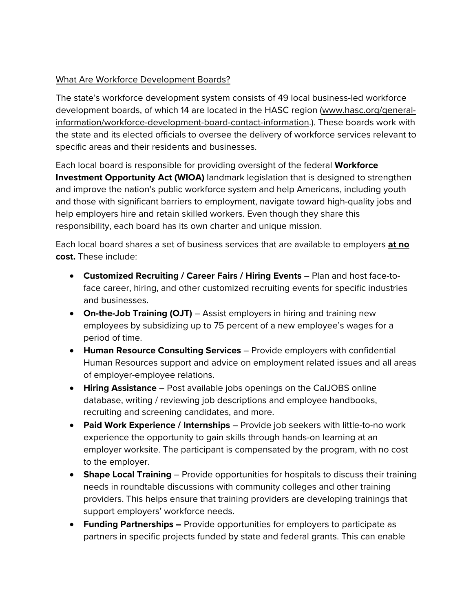#### What Are Workforce Development Boards?

The state's workforce development system consists of 49 local business-led workforce development boards, of which 14 are located in the HASC region (www.hasc.org/generalinformation/workforce-development-board-contact-information.). These boards work with the state and its elected officials to oversee the delivery of workforce services relevant to specific areas and their residents and businesses.

Each local board is responsible for providing oversight of the federal **Workforce Investment Opportunity Act (WIOA)** landmark legislation that is designed to strengthen and improve the nation's public workforce system and help Americans, including youth and those with significant barriers to employment, navigate toward high-quality jobs and help employers hire and retain skilled workers. Even though they share this responsibility, each board has its own charter and unique mission.

Each local board shares a set of business services that are available to employers **at no cost.** These include:

- **Customized Recruiting / Career Fairs / Hiring Events** Plan and host face-toface career, hiring, and other customized recruiting events for specific industries and businesses.
- **On-the-Job Training (OJT)** Assist employers in hiring and training new employees by subsidizing up to 75 percent of a new employee's wages for a period of time.
- **Human Resource Consulting Services** Provide employers with confidential Human Resources support and advice on employment related issues and all areas of employer-employee relations.
- **Hiring Assistance** Post available jobs openings on the CalJOBS online database, writing / reviewing job descriptions and employee handbooks, recruiting and screening candidates, and more.
- **Paid Work Experience / Internships** Provide job seekers with little-to-no work experience the opportunity to gain skills through hands-on learning at an employer worksite. The participant is compensated by the program, with no cost to the employer.
- **Shape Local Training** Provide opportunities for hospitals to discuss their training needs in roundtable discussions with community colleges and other training providers. This helps ensure that training providers are developing trainings that support employers' workforce needs.
- **Funding Partnerships –** Provide opportunities for employers to participate as partners in specific projects funded by state and federal grants. This can enable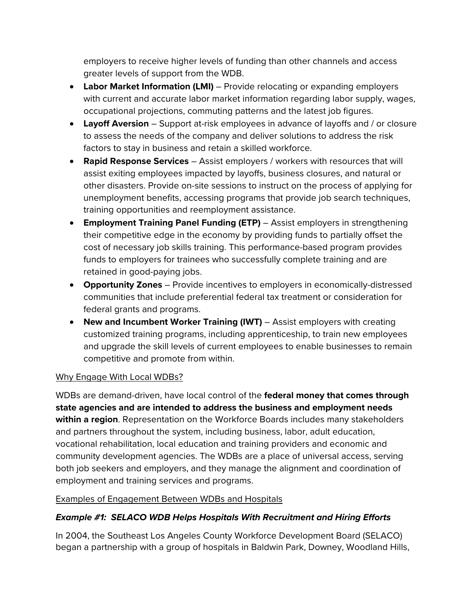employers to receive higher levels of funding than other channels and access greater levels of support from the WDB.

- **Labor Market Information (LMI)** Provide relocating or expanding employers with current and accurate labor market information regarding labor supply, wages, occupational projections, commuting patterns and the latest job figures.
- **Layoff Aversion** Support at-risk employees in advance of layoffs and / or closure to assess the needs of the company and deliver solutions to address the risk factors to stay in business and retain a skilled workforce.
- **Rapid Response Services** Assist employers / workers with resources that will assist exiting employees impacted by layoffs, business closures, and natural or other disasters. Provide on-site sessions to instruct on the process of applying for unemployment benefits, accessing programs that provide job search techniques, training opportunities and reemployment assistance.
- **Employment Training Panel Funding (ETP)** Assist employers in strengthening their competitive edge in the economy by providing funds to partially offset the cost of necessary job skills training. This performance-based program provides funds to employers for trainees who successfully complete training and are retained in good-paying jobs.
- **Opportunity Zones** Provide incentives to employers in economically-distressed communities that include preferential federal tax treatment or consideration for federal grants and programs.
- **New and Incumbent Worker Training (IWT)** Assist employers with creating customized training programs, including apprenticeship, to train new employees and upgrade the skill levels of current employees to enable businesses to remain competitive and promote from within.

# Why Engage With Local WDBs?

WDBs are demand-driven, have local control of the **federal money that comes through state agencies and are intended to address the business and employment needs within a region**. Representation on the Workforce Boards includes many stakeholders and partners throughout the system, including business, labor, adult education, vocational rehabilitation, local education and training providers and economic and community development agencies. The WDBs are a place of universal access, serving both job seekers and employers, and they manage the alignment and coordination of employment and training services and programs.

#### Examples of Engagement Between WDBs and Hospitals

# *Example #1: SELACO WDB Helps Hospitals With Recruitment and Hiring Efforts*

In 2004, the Southeast Los Angeles County Workforce Development Board (SELACO) began a partnership with a group of hospitals in Baldwin Park, Downey, Woodland Hills,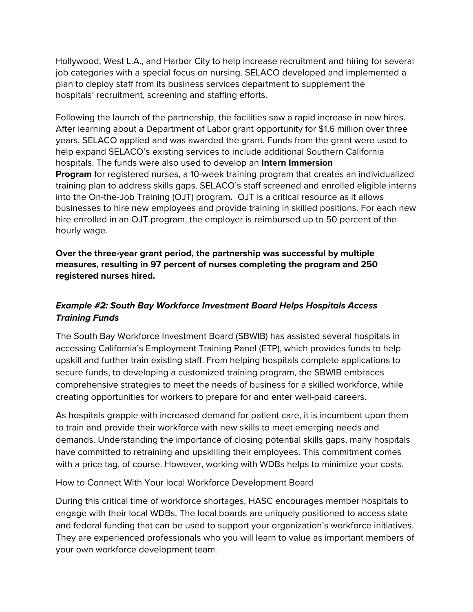Hollywood, West L.A., and Harbor City to help increase recruitment and hiring for several job categories with a special focus on nursing. SELACO developed and implemented a plan to deploy staff from its business services department to supplement the hospitals' recruitment, screening and staffing efforts.

Following the launch of the partnership, the facilities saw a rapid increase in new hires. After learning about a Department of Labor grant opportunity for \$1.6 million over three years, SELACO applied and was awarded the grant. Funds from the grant were used to help expand SELACO's existing services to include additional Southern California hospitals. The funds were also used to develop an **Intern Immersion Program** for registered nurses, a 10-week training program that creates an individualized training plan to address skills gaps. SELACO's staff screened and enrolled eligible interns into the On-the-Job Training (OJT) program*.* OJT is a critical resource as it allows businesses to hire new employees and provide training in skilled positions. For each new hire enrolled in an OJT program, the employer is reimbursed up to 50 percent of the hourly wage.

#### **Over the three-year grant period, the partnership was successful by multiple measures, resulting in 97 percent of nurses completing the program and 250 registered nurses hired.**

# *Example #2: South Bay Workforce Investment Board Helps Hospitals Access Training Funds*

The South Bay Workforce Investment Board (SBWIB) has assisted several hospitals in accessing California's Employment Training Panel (ETP), which provides funds to help upskill and further train existing staff. From helping hospitals complete applications to secure funds, to developing a customized training program, the SBWIB embraces comprehensive strategies to meet the needs of business for a skilled workforce, while creating opportunities for workers to prepare for and enter well-paid careers.

As hospitals grapple with increased demand for patient care, it is incumbent upon them to train and provide their workforce with new skills to meet emerging needs and demands. Understanding the importance of closing potential skills gaps, many hospitals have committed to retraining and upskilling their employees. This commitment comes with a price tag, of course. However, working with WDBs helps to minimize your costs.

# How to Connect With Your local Workforce Development Board

During this critical time of workforce shortages, HASC encourages member hospitals to engage with their local WDBs. The local boards are uniquely positioned to access state and federal funding that can be used to support your organization's workforce initiatives. They are experienced professionals who you will learn to value as important members of your own workforce development team.